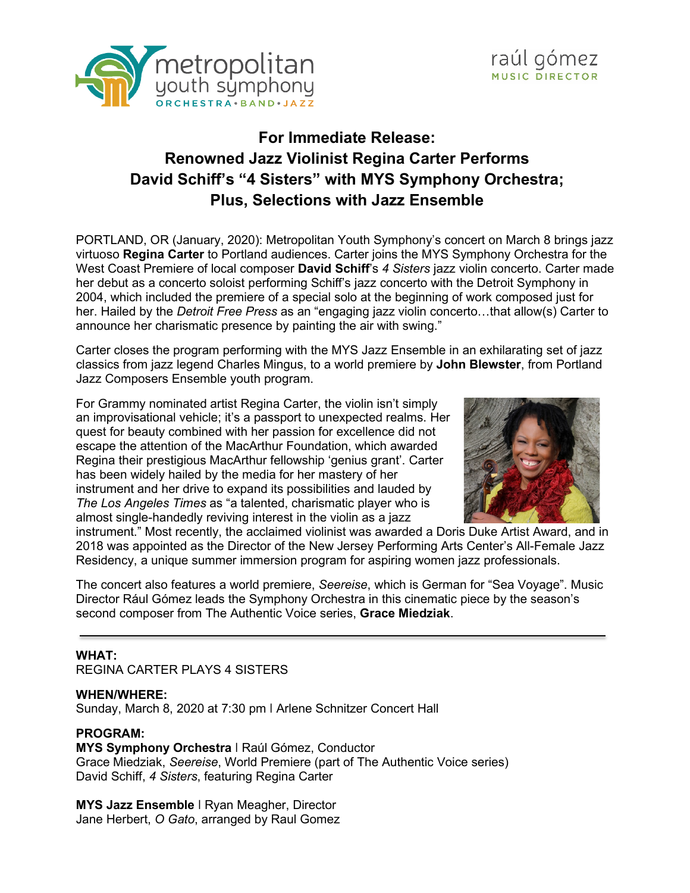



# **For Immediate Release: Renowned Jazz Violinist Regina Carter Performs David Schiff's "4 Sisters" with MYS Symphony Orchestra; Plus, Selections with Jazz Ensemble**

PORTLAND, OR (January, 2020): Metropolitan Youth Symphony's concert on March 8 brings jazz virtuoso **Regina Carter** to Portland audiences. Carter joins the MYS Symphony Orchestra for the West Coast Premiere of local composer **David Schiff**'s *4 Sisters* jazz violin concerto. Carter made her debut as a concerto soloist performing Schiff's jazz concerto with the Detroit Symphony in 2004, which included the premiere of a special solo at the beginning of work composed just for her. Hailed by the *Detroit Free Press* as an "engaging jazz violin concerto…that allow(s) Carter to announce her charismatic presence by painting the air with swing."

Carter closes the program performing with the MYS Jazz Ensemble in an exhilarating set of jazz classics from jazz legend Charles Mingus, to a world premiere by **John Blewster**, from Portland Jazz Composers Ensemble youth program.

For Grammy nominated artist Regina Carter, the violin isn't simply an improvisational vehicle; it's a passport to unexpected realms. Her quest for beauty combined with her passion for excellence did not escape the attention of the MacArthur Foundation, which awarded Regina their prestigious MacArthur fellowship 'genius grant'. Carter has been widely hailed by the media for her mastery of her instrument and her drive to expand its possibilities and lauded by *The Los Angeles Times* as "a talented, charismatic player who is almost single-handedly reviving interest in the violin as a jazz



instrument." Most recently, the acclaimed violinist was awarded a Doris Duke Artist Award, and in 2018 was appointed as the Director of the New Jersey Performing Arts Center's All-Female Jazz Residency, a unique summer immersion program for aspiring women jazz professionals.

The concert also features a world premiere, *Seereise*, which is German for "Sea Voyage". Music Director Rául Gómez leads the Symphony Orchestra in this cinematic piece by the season's second composer from The Authentic Voice series, **Grace Miedziak**.

#### **WHAT:**

REGINA CARTER PLAYS 4 SISTERS

#### **WHEN/WHERE:**

Sunday, March 8, 2020 at 7:30 pm ǀ Arlene Schnitzer Concert Hall

#### **PROGRAM:**

**MYS Symphony Orchestra** ǀ Raúl Gómez, Conductor Grace Miedziak, *Seereise*, World Premiere (part of The Authentic Voice series) David Schiff, *4 Sisters*, featuring Regina Carter

**MYS Jazz Ensemble** ǀ Ryan Meagher, Director Jane Herbert, *O Gato*, arranged by Raul Gomez